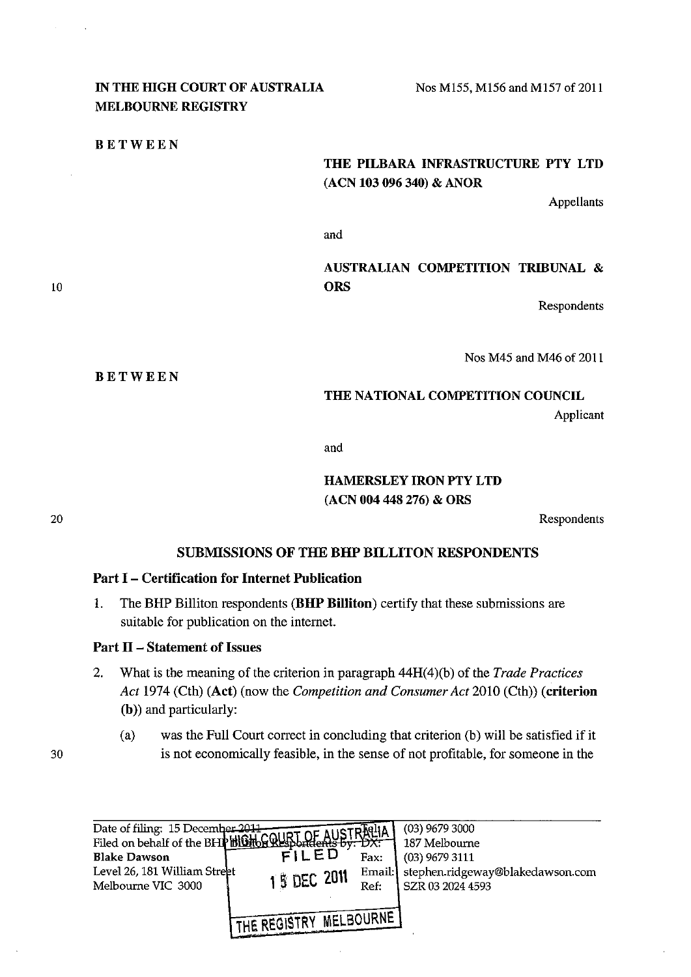## IN THE HIGH COURT OF AUSTRALIA MELBOURNE REGISTRY

BETWEEN

BETWEEN

### THE PILBARA INFRASTRUCTURE PTY LTD (ACN 103 096 340) & ANOR

Appellants

and

# AUSTRALIAN COMPETITION TRffiUNAL & **ORS**

Respondents

Nos M45 and M46 of 2011

#### THE NATIONAL COMPETITION COUNCIL

Applicant

and

## HAMERSLEY IRON PTY LTD (ACN 004 448 276) & ORS

Respondents

## SUBMISSIONS OF THE BHP BILLITON RESPONDENTS

### Part I - Certification for Internet Publication

1. The BHP Billiton respondents (BHP Billiton) certify that these submissions are suitable for publication on the internet.

### Part II - Statement of Issues

- 2. What is the meaning of the criterion in paragraph 44H(4)(b) of the *Trade Practices Act* 1974 (Cth) (Act) (now the *Competition and Consumer Act* 2010 (Cth)) (criterion (b)) and particularly:
	- (a) was the Full Court correct in concluding that criterion (b) will be satisfied if it is not economically feasible, in the sense of not profitable, for someone in the



10

20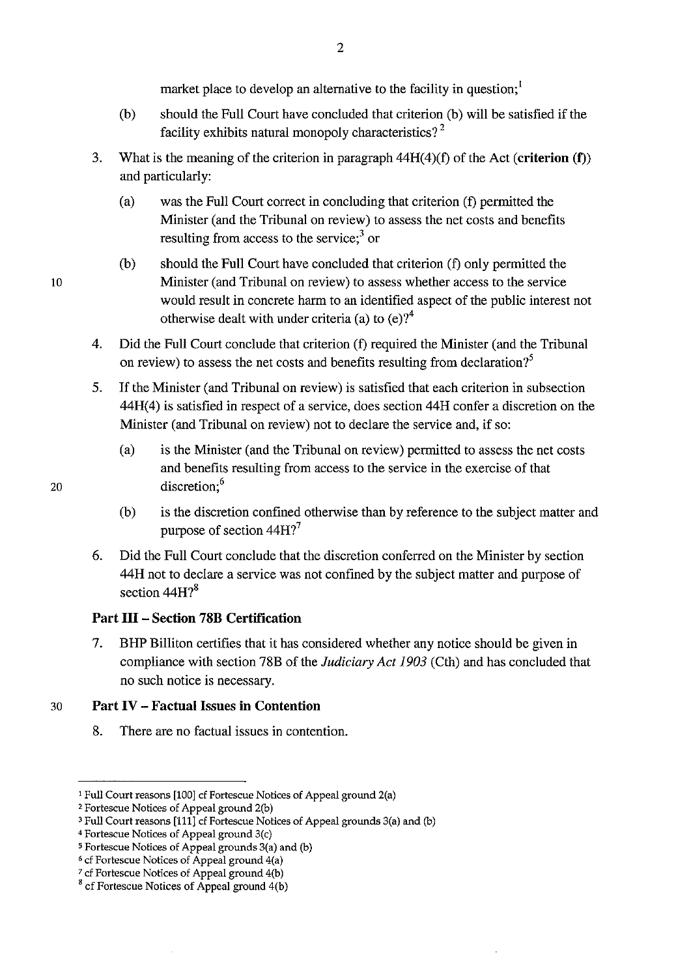market place to develop an alternative to the facility in question;<sup>1</sup>

- (b) should the Full Court have concluded that criterion (b) will be satisfied if the facility exhibits natural monopoly characteristics?<sup>2</sup>
- 3. What is the meaning of the criterion in paragraph 44H( 4)(f) of the Act **(criterion** (f)) and particularly:
	- (a) was the Full Court correct in concluding that criterion (f) permitted the Minister (and the Tribunal on review) to assess the net costs and benefits resulting from access to the service; $3$  or
	- (b) should the Full Court have concluded that criterion (f) only permitted the Minister (and Tribunal on review) to assess whether access to the service would result in concrete harm to an identified aspect of the public interest not otherwise dealt with under criteria (a) to  $(e)$ ?<sup>4</sup>
- 4. Did the Full Court conclude that criterion (f) required the Minister (and the Tribunal on review) to assess the net costs and benefits resulting from declaration?<sup>5</sup>
- 5. If the Minister (and Tribunal on review) is satisfied that each criterion in subsection 44H(4) is satisfied in respect of a service, does section 44H confer a discretion on the Minister (and Tribunal on review) not to declare the service and, if so:
	- (a) is the Minister (and the Tribunal on review) permitted to assess the net costs and benefits resulting from access to the service in the exercise of that discretion:<sup>6</sup>
	- (b) is the discretion confined otherwise than by reference to the subject matter and purpose of section 44H?<sup>7</sup>
- 6. Did the Full Court conclude that the discretion conferred on the Minister by section 44H not to declare a service was not confined by the subject matter and purpose of section 44H?<sup>8</sup>

## **Part III - Section 78B Certification**

7. BHP Billiton certifies that it has considered whether any notice should be given in compliance with section 78B of the *Judiciary Act 1903* (Cth) and has concluded that no such notice is necessary.

## 30 **Part IV - Factual** Issues **in Contention**

8. There are no factual issues in contention.

20

<sup>&</sup>lt;sup>1</sup> Full Court reasons [100] cf Fortescue Notices of Appeal ground 2(a)

<sup>&#</sup>x27;Fortescue Notices of Appeal ground 2(b)

<sup>&</sup>lt;sup>3</sup> Full Court reasons [111] cf Fortescue Notices of Appeal grounds 3(a) and (b)

<sup>4</sup> Fortescue Notices of Appeal ground 3(c)

<sup>&#</sup>x27;Fortescue Notices of Appeal grounds 3(a) and (b)

<sup>&#</sup>x27;cf Fortescue Notices of Appeal ground 4(a)

<sup>&</sup>lt;sup>7</sup> cf Fortescue Notices of Appeal ground 4(b)

 $8$  cf Fortescue Notices of Appeal ground  $4(b)$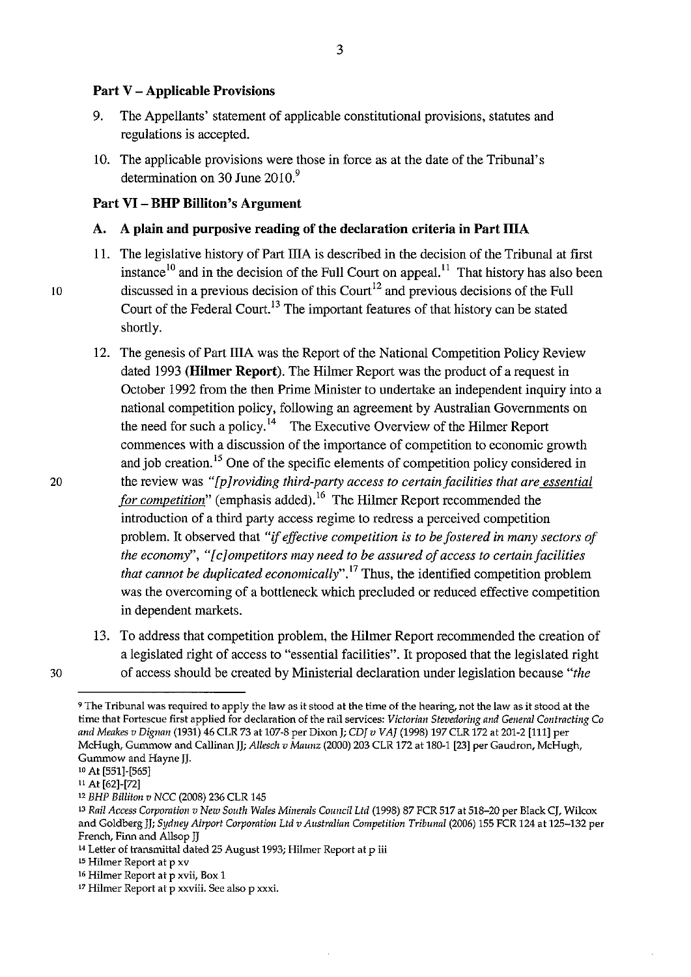#### **Part** V - **Applicable Provisions**

- 9. The Appellants' statement of applicable constitutional provisions, statutes and regulations is accepted.
- 10. The applicable provisions were those in force as at the date of the Tribunal's determination on 30 June 2010.<sup>9</sup>

### **Part VI- BHP Billiton's Argument**

#### A. A **plain and purposive reading of the declaration criteria in Part IliA**

- 11. The legislative history of Part IliA is described in the decision of the Tribunal at first instance  $\frac{10}{10}$  and in the decision of the Full Court on appeal.<sup>11</sup> That history has also been 10 discussed in a previous decision of this Court<sup>12</sup> and previous decisions of the Full Court of the Federal Court. 13 The important features of that history can be stated shortly.
	- 12. The genesis of Part IIIA was the Report of the National Competition Policy Review dated 1993 **(Hilmer Report).** The Hilmer Report was the product of a request in October 1992 from the then Prime Minister to undertake an independent inquiry into a national competition policy, following an agreement by Australian Governments on the need for such a policy.<sup>14</sup> The Executive Overview of the Hilmer Report commences with a discussion of the importance of competition to economic growth and job creation. 15 One of the specific elements of competition policy considered in the review was *"[p]roviding third-party access to certain facilities that are essential*  for competition" (emphasis added).<sup>16</sup> The Hilmer Report recommended the introduction of a third party access regime to redress a perceived competition problem. It observed that *"if effective competition is to be fostered in many sectors of the economy",* " *[ c] ompetitors may need to be assured of access to certain facilities that cannot be duplicated economically"* . 17 Thus, the identified competition problem was the overcoming of a bottleneck which precluded or reduced effective competition in dependent markets.
- 13. To address that competition problem, the Hilmer Report recommended the creation of a legislated right of access to "essential facilities". It proposed that the legislated right 30 of access should be created by Ministerial declaration under legislation because *"the*

<sup>9</sup>**The Tribunal was required to apply the law as it stood at the time of the hearing, not the law as it stood at the time that Fortescue first applied for declaration of the rail services:** *Victorian Stevedoring and General Contracting Co and Meakes v Dignan* (1931) 46 CLR 73 at 107-8 per Dixon); *CDJ v VAJ* (1998) 197 CLR 172 at 201-2 [111] per McHugh, Gummow and Callinan JJ; *Allesch v Maunz* (2000) 203 CLR 172 at 180-1 [23] per Gaudron, McHugh, Gummow and Hayne JJ. 10 At [551]-[565]

u At [62]-[72]

<sup>12</sup>*BHP Billiton v NCC* (2008) 236 CLR 145

<sup>13</sup> Rail Access Corporation v New South Wales Minerals Council Ltd (1998) 87 FCR 517 at 518-20 per Black CJ, Wilcox and Goldberg Jj; *Sydney Airport Corporation Ltd v Australian Competition Tribunal* (2006) 155 FCR 124 at 125-132 per French, Finn and Allsop JJ<br><sup>14</sup> Letter of transmittal dated 25 August 1993; Hilmer Report at p iii

**ts Hilmer Report at p xv** 

**<sup>16</sup> Hilmer Report at p xvii, Box 1** 

**<sup>17</sup> Hilmer Report at p xxviii. See alsop xxxi.**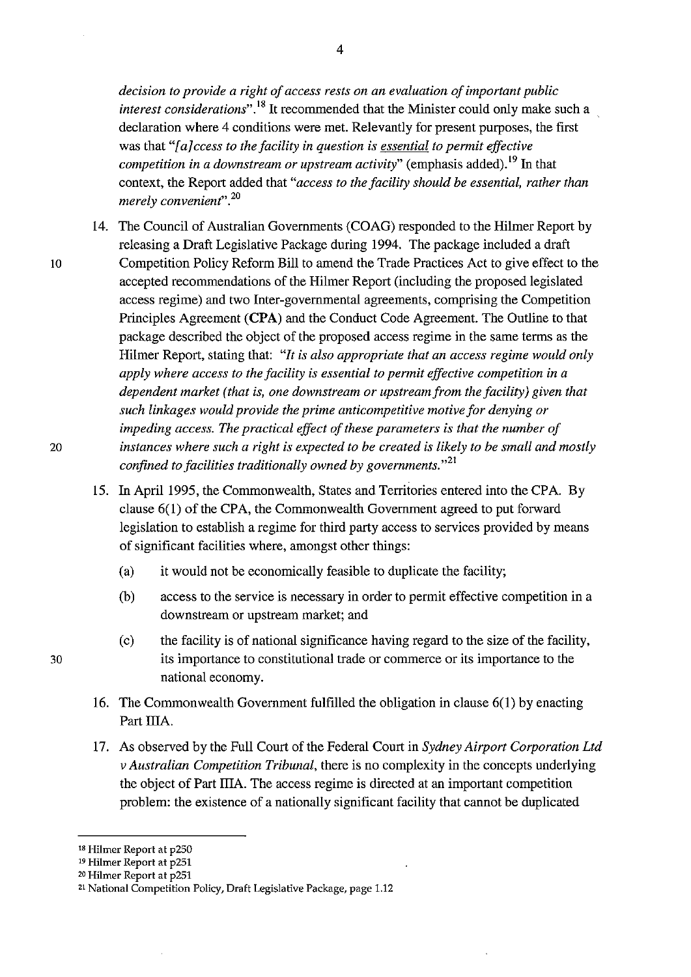*decision to provide a right of access rests on an evaluation of important public interest considerations*<sup>", 18</sup> It recommended that the Minister could only make such a declaration where 4 conditions were met. Relevantly for present purposes, the first was that *"[a]ccess to the facility in question is essential to permit effective competition in a downstream or upstream activity*" (emphasis added).<sup>19</sup> In that context, the Report added that *"access to the facility should be essential, rather than merely convenient".* <sup>20</sup>

- 14. The Council of Australian Governments (COAG) responded to the Hilmer Report by releasing a Draft Legislative Package during 1994. The package included a draft 10 Competition Policy Reform Bill to amend the Trade Practices Act to give effect to the accepted recommendations of the Hilmer Report (including the proposed legislated access regime) and two Inter-governmental agreements, comprising the Competition Principles Agreement **(CPA)** and the Conduct Code Agreement. The Outline to that package described the object of the proposed access regime in the same terms as the Hilmer Report, stating that: *"It is also appropriate that an access regime would only apply where access to the facility is essential to permit effective competition in a dependent market (that* is, *one downstream or upstream from the facility) given that such linkages would provide the prime anticompetitive motive for denying or impeding access. The practical effect of these parameters is that the number of*  20 *instances where such a right is expected to be created is likely to be small and mostly confined to facilities traditionally owned by governments."*<sup>21</sup>
	- 15. In April 1995, the Commonwealth, States and Territories entered into the CPA. By clause 6(1) of the CPA, the Commonwealth Government agreed to put forward legislation to establish a regime for third party access to services provided by means of significant facilities where, amongst other things:
		- (a) it would not be economically feasible to duplicate the facility;
		- (b) access to the service is necessary in order to permit effective competition in a downstream or upstream market; and
		- (c) the facility is of national significance having regard to the size of the facility, its importance to constitutional trade or commerce or its importance to the national economy.
	- 16. The Commonwealth Government fulfilled the obligation in clause 6(1) by enacting Part IIIA.
	- 17. As observed by the Full Court of the Federal Court in *Sydney Airport Corporation Ltd v Australian Competition Tribunal,* there is no complexity in the concepts underlying the object of Part IliA. The access regime is directed at an important competition problem: the existence of a nationally significant facility that cannot be duplicated

<sup>18</sup> Hilmer Report at p250

<sup>19</sup> Hilmer Report at p251

**<sup>20</sup> Hilmer Report at p251** 

<sup>21</sup> National Competition Policy, Draft Legislative Package, page 1.12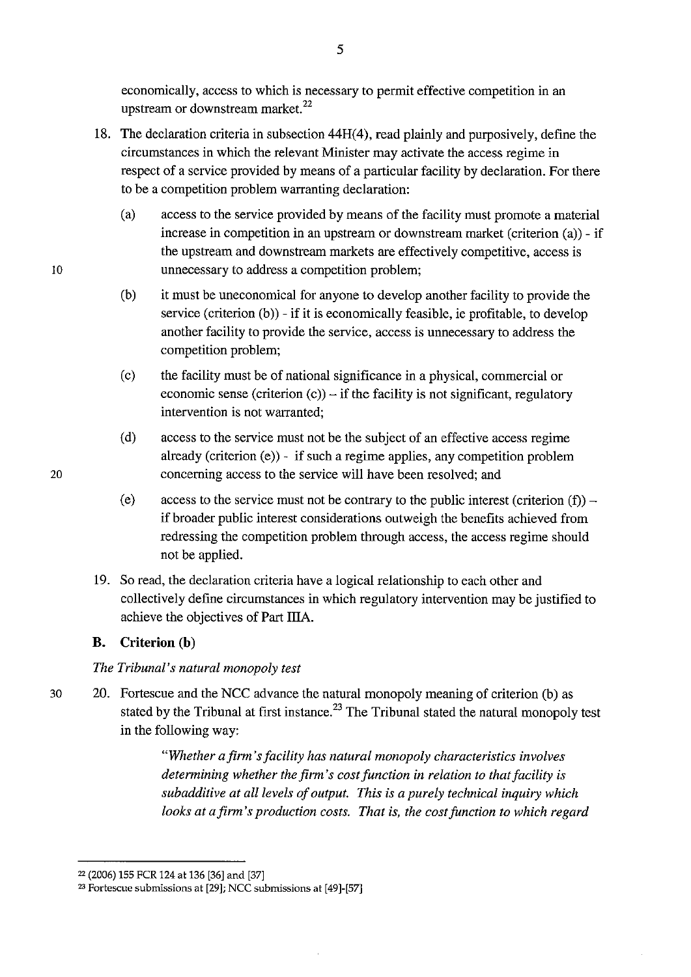economically, access to which is necessary to permit effective competition in an upstream or downstream market.<sup>22</sup>

- 18. The declaration criteria in subsection 44H(4), read plainly and purposively, define the circumstances in which the relevant Minister may activate the access regime in respect of a service provided by means of a particular facility by declaration. For there to be a competition problem warranting declaration:
	- (a) access to the service provided by means of the facility must promote a material increase in competition in an upstream or downstream market (criterion (a)) - if the upstream and downstream markets are effectively competitive, access is unnecessary to address a competition problem;
	- (b) it must be uneconomical for anyone to develop another facility to provide the service (criterion (b)) - if it is economically feasible, ie profitable, to develop another facility to provide the service, access is unnecessary to address the competition problem;
	- (c) the facility must be of national significance in a physical, commercial or economic sense (criterion  $(c)$ ) – if the facility is not significant, regulatory intervention is not warranted;
	- (d) access to the service must not be the subject of an effective access regime already (criterion  $(e)$ ) - if such a regime applies, any competition problem concerning access to the service will have been resolved; and
	- (e) access to the service must not be contrary to the public interest (criterion  $(f)$ ) – if broader public interest considerations outweigh the benefits achieved from redressing the competition problem through access, the access regime should not be applied.
- 19. So read, the declaration criteria have a logical relationship to each other and collectively define circumstances in which regulatory intervention may be justified to achieve the objectives of Part IliA.

## **B. Criterion (b)**

## *The Tribunal's natural monopoly test*

30 20. Fortescue and the NCC advance the natural monopoly meaning of criterion (b) as stated by the Tribunal at first instance.<sup>23</sup> The Tribunal stated the natural monopoly test in the following way:

> *"Whether a firm's facility has natural monopoly characteristics involves determining whether the firm's cost function in relation to that facility is subadditive at all levels of output. This is a purely technical inquiry which looks at a firm's production costs. That is, the cost function to which regard*

<sup>22 (2006) 155</sup> FCR 124 at 136 [36] and [37]

<sup>23</sup> Fortescue submissions at [29]; NCC submissions at [49]-[57]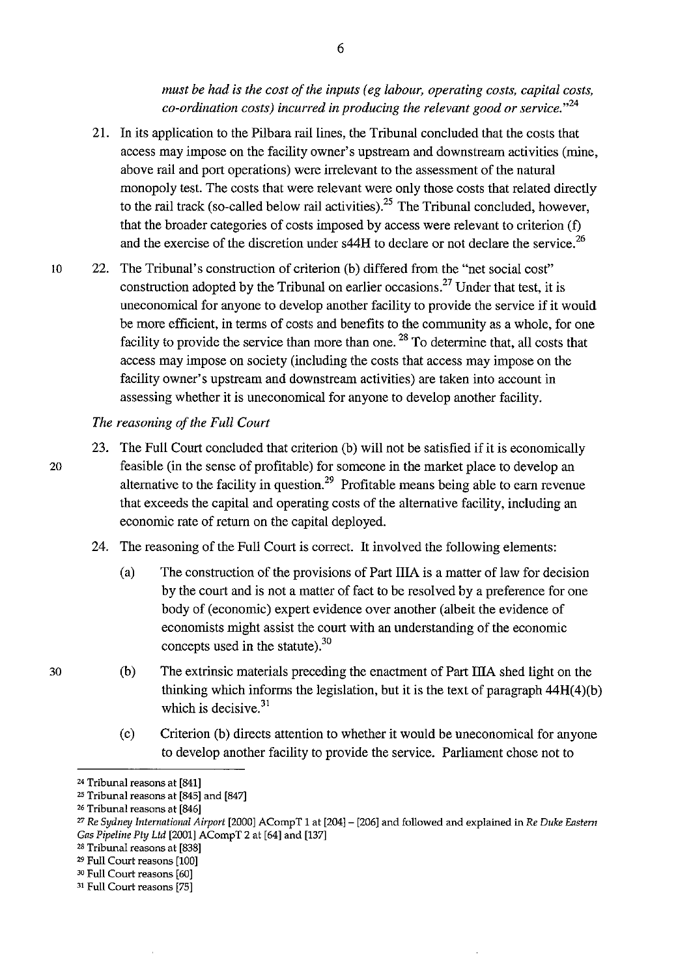*must be had is the cost of the inputs ( eg labour, operating costs, capital costs, co-ordination costs) incurred in producing the relevant good or service.* "<sup>24</sup>

- 21. In its application to the Pilbara rail lines, the Tribunal concluded that the costs that access may impose on the facility owner's upstream and downstream activities (mine, above rail and port operations) were irrelevant to the assessment of the natural monopoly test. The costs that were relevant were only those costs that related directly to the rail track (so-called below rail activities).<sup>25</sup> The Tribunal concluded, however, that the broader categories of costs imposed by access were relevant to criterion (f) and the exercise of the discretion under  $\frac{44H}{4}$  to declare or not declare the service.<sup>26</sup>
- 10 22. The Tribunal's construction of criterion (b) differed from the "net social cost" construction adopted by the Tribunal on earlier occasions.<sup>27</sup> Under that test, it is uneconomical for anyone to develop another facility to provide the service if it would be more efficient, in terms of costs and benefits to the community as a whole, for one facility to provide the service than more than one.<sup>28</sup> To determine that, all costs that access may impose on society (including the costs that access may impose on the facility owner's upstream and downstream activities) are taken into account in assessing whether it is uneconomical for anyone to develop another facility.

#### *The reasoning of the Full Court*

- 23. The Full Court concluded that criterion (b) will not be satisfied if it is economically 20 feasible (in the sense of profitable) for someone in the market place to develop an alternative to the facility in question.<sup>29</sup> Profitable means being able to earn revenue that exceeds the capital and operating costs of the alternative facility, including an economic rate of return on the capital deployed.
	- 24. The reasoning of the Full Court is correct. It involved the following elements:
		- (a) The construction of the provisions of Part IliA is a matter of law for decision by the court and is not a matter of fact to be resolved by a preference for one body of (economic) expert evidence over another (albeit the evidence of economists might assist the court with an understanding of the economic concepts used in the statute).<sup>30</sup>
		- (b) The extrinsic materials preceding the enactment of Part IliA shed light on the thinking which informs the legislation, but it is the text of paragraph  $44H(4)(b)$ which is decisive.<sup>31</sup>
		- (c) Criterion (b) directs attention to whether it would be uneconomical for anyone to develop another facility to provide the service. Parliament chose not to

29 Full Court reasons [100]

6

<sup>&</sup>lt;sup>24</sup> Tribunal reasons at [841]

<sup>25</sup> Tribunal reasons at [845] and [847]

<sup>26</sup> Tribunal reasons at [846]

<sup>27</sup>*Re Sydney International Airport* [2000] ACompT 1 at [204]- [206] and followed and explained tn *Re Duke Eastern Gas Pipeline Pty Ltd* [2001] ACompT 2 at [64] and [137]

<sup>2</sup>B Tribunal reasons at [838]

<sup>&</sup>lt;sup>30</sup> Full Court reasons [60]

<sup>31</sup> Full Court reasons [75]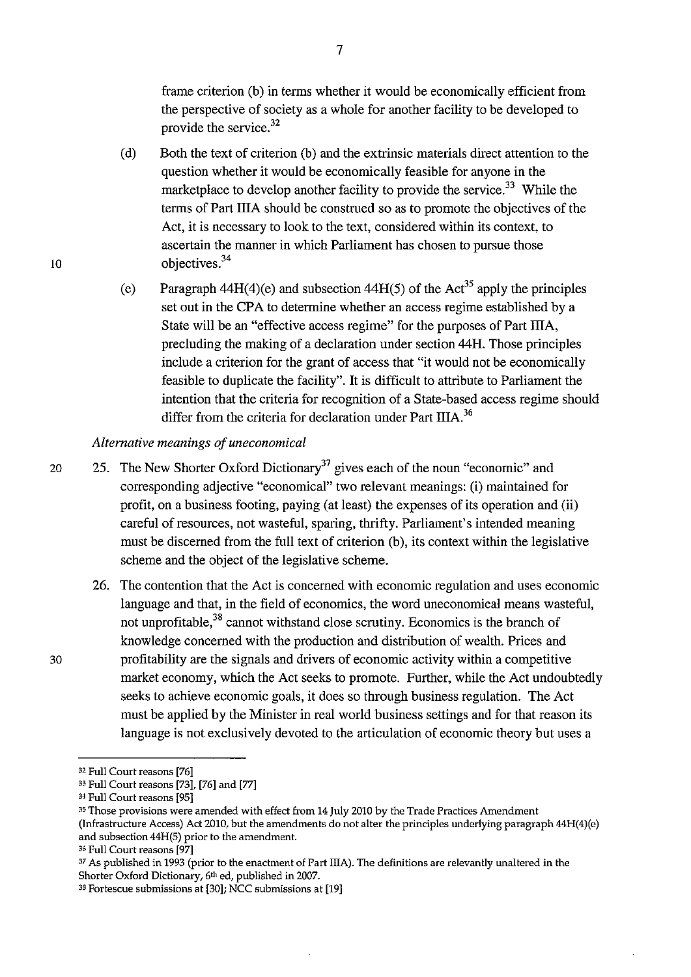frame criterion (b) in terms whether it would be economically efficient from the perspective of society as a whole for another facility to be developed to provide the service.<sup>32</sup>

- (d) Both the text of criterion (b) and the extrinsic materials direct attention to the question whether it would be economically feasible for anyone in the marketplace to develop another facility to provide the service.<sup>33</sup> While the terms of Part lliA should be construed so as to promote the objectives of the Act, it is necessary to look to the text, considered within its context, to ascertain the manner in which Parliament has chosen to pursue those objectives. 34
- (e) Paragraph 44H(4)(e) and subsection 44H(5) of the Act<sup>35</sup> apply the principles set out in the CPA to determine whether an access regime established by a State will be an "effective access regime" for the purposes of Part ITIA, precluding the making of a declaration under section 44H. Those principles include a criterion for the grant of access that "it would not be economically feasible to duplicate the facility". It is difficult to attribute to Parliament the intention that the criteria for recognition of a State-based access regime should differ from the criteria for declaration under Part IIIA.<sup>36</sup>

#### *Alternative meanings of uneconomical*

- 20 25. The New Shorter Oxford Dictionary<sup>37</sup> gives each of the noun "economic" and corresponding adjective "economical" two relevant meanings: (i) maintained for profit, on a business footing, paying (at least) the expenses of its operation and (ii) careful of resources, not wasteful, sparing, thrifty. Parliament's intended meaning must be discerned from the full text of criterion (b), its context within the legislative scheme and the object of the legislative scheme.
	- 26. The contention that the Act is concerned with economic regulation and uses economic language and that, in the field of economics, the word uneconomical means wasteful, not unprofitable,  $38$  cannot withstand close scrutiny. Economics is the branch of knowledge concerned with the production and distribution of wealth. Prices and profitability are the signals and drivers of economic activity within a competitive market economy, which the Act seeks to promote. Further, while the Act undoubtedly seeks to achieve economic goals, it does so through business regulation. The Act must be applied by the Minister in real world business settings and for that reason its language is not exclusively devoted to the articulation of economic theory but uses a

lO

<sup>32</sup> Full Court reasons [76]

<sup>33</sup> Full Court reasons [73], [76] and [77]

<sup>34</sup>Full Court reasons [95]

**<sup>35</sup> Those provisions were amended with effect from 14 July 2010 by the Trade Practices Amendment**  (Infrastructure Access) Act 2010, but the amendments do not alter the principles underlying paragraph 44H(4)(e) and subsection 44H(S) prior to the amendment.

<sup>36</sup>Full Court reasons [97]

<sup>&</sup>lt;sup>37</sup> As published in 1993 (prior to the enactment of Part IIIA). The definitions are relevantly unaltered in the Shorter Oxford Dictionary, 6th ed, published in 2007.

<sup>38</sup> **Fortescue submissions at [30]; NCC submissions at [19]**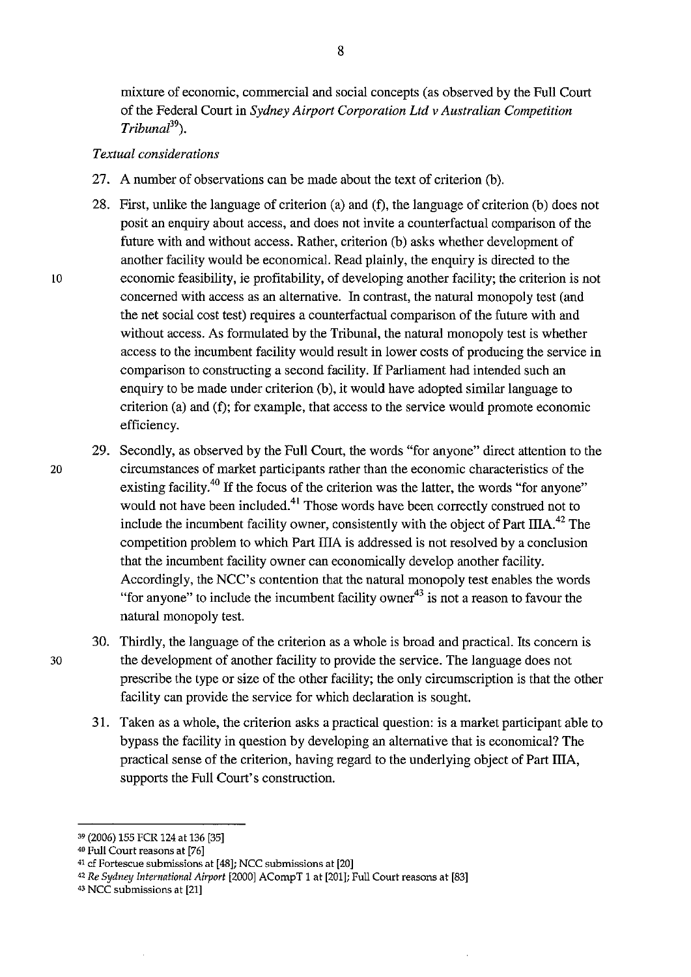mixture of economic, commercial and social concepts (as observed by the Full Court of the Federal Court in *Sydney Airport Corporation Ltd v Australian Competition Tribunal*<sup>39</sup>).

### *Textual considerations*

- 27. A number of observations can be made about the text of criterion (b).
- 28. First, unlike the language of criterion (a) and (f), the language of criterion (b) does not posit an enquiry about access, and does not invite a counterfactual comparison of the future with and without access. Rather, criterion (b) asks whether development of another facility would be economical. Read plainly, the enquiry is directed to the lO economic feasibility, ie profitability, of developing another facility; the criterion is not concerned with access as an alternative. In contrast, the natural monopoly test (and the net social cost test) requires a counterfactual comparison of the future with and without access. As formulated by the Tribunal, the natural monopoly test is whether access to the incumbent facility would result in lower costs of producing the service in comparison to constructing a second facility. If Parliament had intended such an enquiry to be made under criterion (b), it would have adopted similar language to criterion (a) and (f); for example, that access to the service would promote economic efficiency.
- 29. Secondly, as observed by the Full Court, the words "for anyone" direct attention to the 20 circumstances of market participants rather than the economic characteristics of the existing facility.<sup>40</sup> If the focus of the criterion was the latter, the words "for anyone" would not have been included.<sup>41</sup> Those words have been correctly construed not to include the incumbent facility owner, consistently with the object of Part IIIA.<sup>42</sup> The competition problem to which Part IliA is addressed is not resolved by a conclusion that the incumbent facility owner can economically develop another facility. Accordingly, the NCC's contention that the natural monopoly test enables the words "for anyone" to include the incumbent facility owner<sup>43</sup> is not a reason to favour the natural monopoly test.
- 30. Thirdly, the language of the criterion as a whole is broad and practical. Its concern is 30 the development of another facility to provide the service. The language does not prescribe the type or size of the other facility; the only circumscription is that the other facility can provide the service for which declaration is sought.
	- 31. Taken as a whole, the criterion asks a practical question: is a market participant able to bypass the facility in question by developing an alternative that is economical? The practical sense of the criterion, having regard to the underlying object of Part IliA, supports the Full Court's construction.

<sup>39 (2006) 155</sup> FCR 124 at 136 [35]

<sup>40</sup> Full Court reasons at [76]

<sup>41</sup>cf **Fortescue submissions at [48]; NCC submissions at [20]** 

<sup>42</sup>*Re Sydney International Airport* [2000] ACompT 1 at [201]; Full Court reasons at [83]

<sup>43</sup> NCC submissions at [21]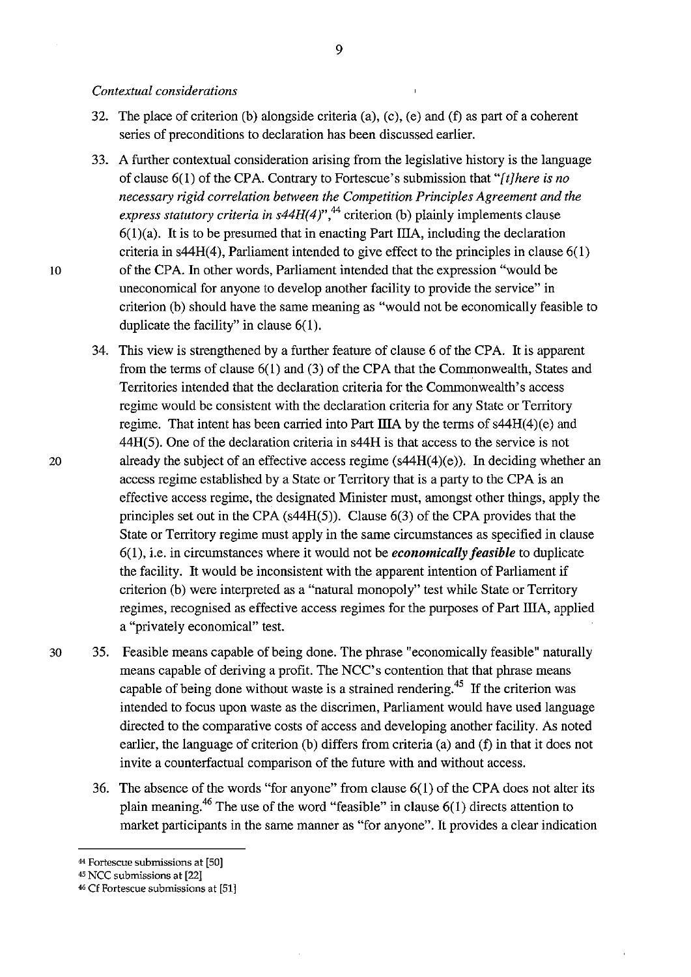#### *Contextual considerations*

- 32. The place of criterion (b) alongside criteria (a), (c), (e) and (f) as part of a coherent series of preconditions to declaration has been discussed earlier.
- 33. A further contextual consideration arising from the legislative history is the language of clause 6(1) of the CPA. Contrary to Fortescue's submission that *"[t]here is no necessary rigid correlation between the Competition Principles Agreement and the*  express statutory criteria in s44H(4)",<sup>44</sup> criterion (b) plainly implements clause  $6(1)(a)$ . It is to be presumed that in enacting Part IIIA, including the declaration criteria in s44H(4), Parliament intended to give effect to the principles in clause 6(1) 10 of the CPA. In other words, Parliament intended that the expression "would be uneconomical for anyone to develop another facility to provide the service" in criterion (b) should have the same meaning as "would not be economically feasible to duplicate the facility" in clause 6(1).
- 34. This view is strengthened by a further feature of clause 6 of the CPA. It is apparent from the terms of clause 6( 1) and (3) of the CPA that the Commonwealth, States and Territories intended that the declaration criteria for the Commonwealth's access regime would be consistent with the declaration criteria for any State or Territory regime. That intent has been carried into Part IIIA by the terms of  $s44H(4)(e)$  and 44H(5). One of the declaration criteria in s44H is that access to the service is not 20 already the subject of an effective access regime (s44H(4)(e)). In deciding whether an access regime established by a State or Territory that is a party to the CPA is an effective access regime, the designated Minister must, amongst other things, apply the principles set out in the CPA (s44H(5)). Clause 6(3) of the CPA provides that the State or Territory regime must apply in the same circumstances as specified in clause 6( 1 ), i.e. in circumstances where it would not be *economically feasible* to duplicate the facility. It would be inconsistent with the apparent intention of Parliament if criterion (b) were interpreted as a "natural monopoly" test while State or Territory regimes, recognised as effective access regimes for the purposes of Part IliA, applied a "privately economical" test.
- 30 35. Feasible means capable of being done. The phrase "economically feasible" naturally means capable of deriving a profit. The NCC' s contention that that phrase means capable of being done without waste is a strained rendering.<sup>45</sup> If the criterion was intended to focus upon waste as the discrimen, Parliament would have used language directed to the comparative costs of access and developing another facility. As noted earlier, the language of criterion (b) differs from criteria (a) and (f) in that it does not invite a counterfactual comparison of the future with and without access.
	- 36. The absence of the words "for anyone" from clause 6(1) of the CPA does not alter its plain meaning.<sup>46</sup> The use of the word "feasible" in clause  $6(1)$  directs attention to market participants in the same manner as "for anyone". It provides a clear indication

<sup>44</sup>**Fortescue submissions at [50]** 

<sup>45</sup> NCC submissions at [22]

<sup>&</sup>lt;sup>46</sup> Cf Fortescue submissions at [51]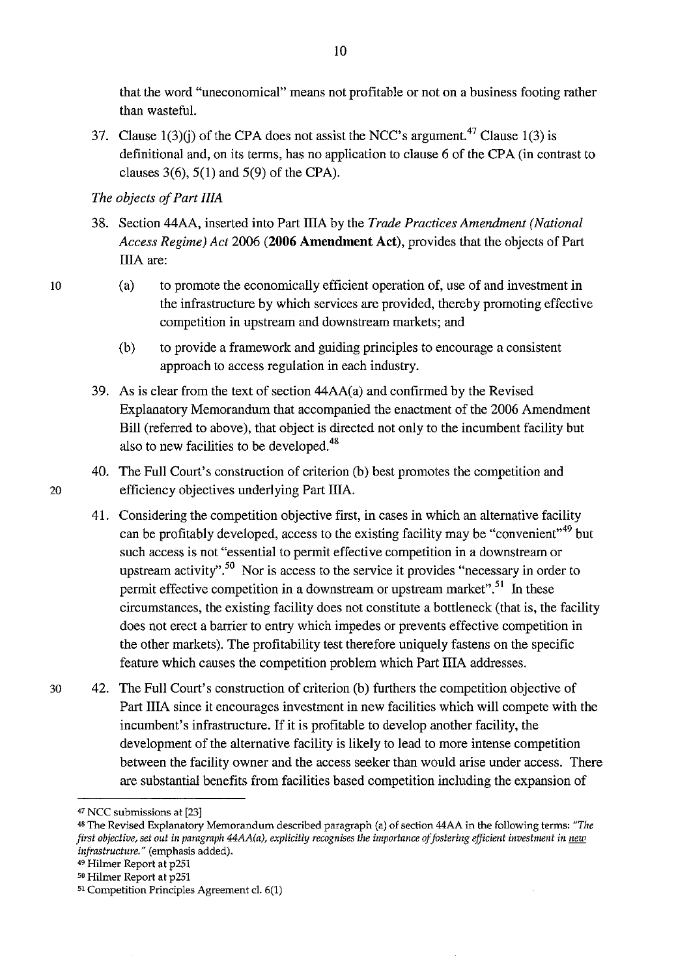that the word "uneconomical" means not profitable or not on a business footing rather than wasteful.

37. Clause  $1(3)(i)$  of the CPA does not assist the NCC's argument.<sup>47</sup> Clause 1(3) is definitional and, on its terms, has no application to clause 6 of the CPA (in contrast to clauses  $3(6)$ ,  $5(1)$  and  $5(9)$  of the CPA).

## *The objects of Part IliA*

- 38. Section 44AA, inserted into Part lliA by the *Trade Practices Amendment (National Access Regime) Act* 2006 **(2006 Amendment Act),** provides that the objects of Part lliA are:
	- (a) to promote the economically efficient operation of, use of and investment in the infrastructure by which services are provided, thereby promoting effective competition in upstream and downstream markets; and
	- (b) to provide a framework and guiding principles to encourage a consistent approach to access regulation in each industry.
- 39. As is clear from the text of section 44AA( a) and confirmed by the Revised Explanatory Memorandum that accompanied the enactment of the 2006 Amendment Bill (referred to above), that object is directed not only to the incumbent facility but also to new facilities to be developed.<sup>48</sup>
- 40. The Full Court's construction of criterion (b) best promotes the competition and 20 efficiency objectives underlying Part IIIA.
	- 41. Considering the competition objective first, in cases in which an alternative facility can be profitably developed, access to the existing facility may be "convenient"<sup>49</sup> but such access is not "essential to permit effective competition in a downstream or upstream activity".<sup>50</sup> Nor is access to the service it provides "necessary in order to permit effective competition in a downstream or upstream market".<sup>51</sup> In these circumstances, the existing facility does not constitute a bottleneck (that is, the facility does not erect a barrier to entry which impedes or prevents effective competition in the other markets). The profitability test therefore uniquely fastens on the specific feature which causes the competition problem which Part IliA addresses.
- 30 42. The Full Court's construction of criterion (b) furthers the competition objective of Part IliA since it encourages investment in new facilities which will compete with the incumbent's infrastructure. If it is profitable to develop another facility, the development of the alternative facility is likely to lead to more intense competition between the facility owner and the access seeker than would arise under access. There are substantial benefits from facilities based competition including the expansion of

<sup>47</sup> NCC submissions at [23]

<sup>&</sup>quot;The Revised Explanatory Memorandum described paragraph (a) of section 44AA in the following terms: *"The first objective, set out in paragraph 44AA(a), explicitly recognises the importance of fostering efficient investment in new infrastmcture."* (emphasis added).

<sup>&</sup>lt;sup>49</sup> Hilmer Report at p251

so Hilmer Report at p251

**<sup>51</sup> Competition Principles Agreement cl. 6(1)**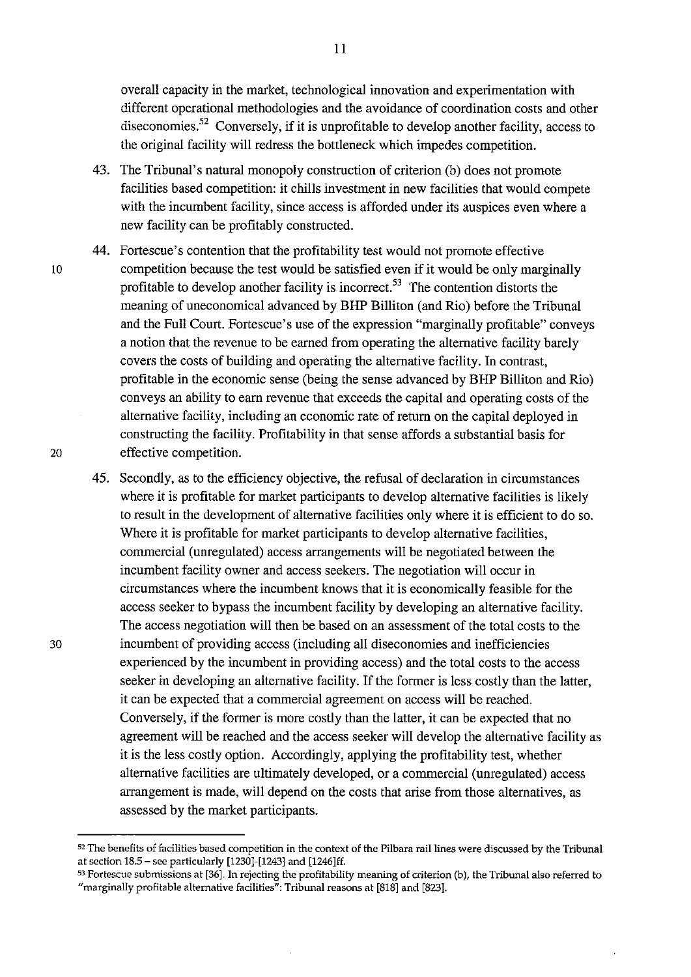overall capacity in the market, technological innovation and experimentation with different operational methodologies and the avoidance of coordination costs and other diseconomies.<sup>52</sup> Conversely, if it is unprofitable to develop another facility, access to the original facility will redress the bottleneck which impedes competition.

- 43. The Tribunal's natural monopoly construction of criterion (b) does not promote facilities based competition: it chills investment in new facilities that would compete with the incumbent facility, since access is afforded under its auspices even where a new facility can be profitably constructed.
- 44. Fortescue's contention that the profitability test would not promote effective 10 competition because the test would be satisfied even if it would be only marginally profitable to develop another facility is incorrect. 53 The contention distorts the meaning of uneconomical advanced by BHP Billiton (and Rio) before the Tribunal and the Full Court. Fortescue's use of the expression "marginally profitable" conveys a notion that the revenue to be earned from operating the alternative facility barely covers the costs of building and operating the alternative facility. In contrast, profitable in the economic sense (being the sense advanced by BHP Billiton and Rio) conveys an ability to earn revenue that exceeds the capital and operating costs of the alternative facility, including an economic rate of return on the capital deployed in constructing the facility. Profitability in that sense affords a substantial basis for 20 effective competition.
- 45. Secondly, as to the efficiency objective, the refusal of declaration in circumstances where it is profitable for market participants to develop alternative facilities is likely to result in the development of alternative facilities only where it is efficient to do so. Where it is profitable for market participants to develop alternative facilities, commercial (unregulated) access arrangements will be negotiated between the incumbent facility owner and access seekers. The negotiation will occur in circumstances where the incumbent knows that it is economically feasible for the access seeker to bypass the incumbent facility by developing an alternative facility. The access negotiation will then be based on an assessment of the total costs to the 30 incumbent of providing access (including all diseconomies and inefficiencies experienced by the incumbent in providing access) and the total costs to the access seeker in developing an alternative facility. If the former is less costly than the latter, it can be expected that a commercial agreement on access will be reached. Conversely, if the former is more costly than the latter, it can be expected that no agreement will be reached and the access seeker will develop the alternative facility as it is the less costly option. Accordingly, applying the profitability test, whether alternative facilities are ultimately developed, or a commercial (unregulated) access arrangement is made, will depend on the costs that arise from those alternatives, as assessed by the market participants.

<sup>52</sup>**The benefits of facilities based competition in the context of the Pilbara rail lines were discussed by the Tribunal**  at section  $18.5$  – see particularly [1230]-[1243] and [1246]ff.

<sup>53</sup> Fortescue submissions at [36]. In rejecting the profitability meaning of criterion (b), the Tribunal also referred to "marginally profitable alternative facilities": Tribunal reasons at [818] and [823].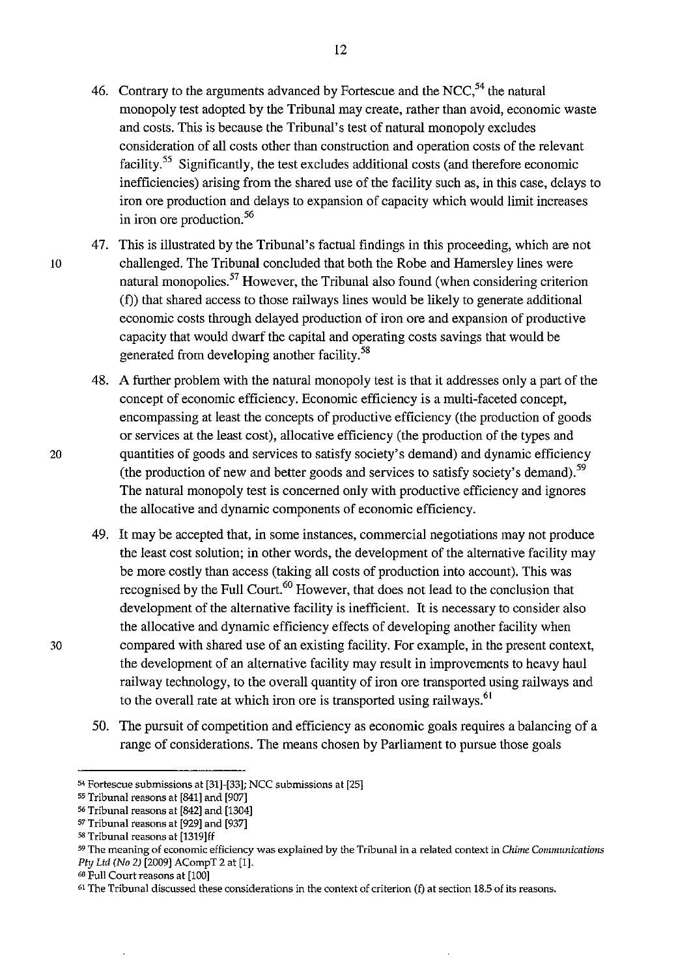12

- monopoly test adopted by the Tribunal may create, rather than avoid, economic waste and costs. This is because the Tribunal's test of natural monopoly excludes consideration of all costs other than construction and operation costs of the relevant facility.55 Significantly, the test excludes additional costs (and therefore economic inefficiencies) arising from the shared use of the facility such as, in this case, delays to iron ore production and delays to expansion of capacity which would limit increases in iron ore production. 56
- 47. This is illustrated by the Tribunal's factual findings in this proceeding, which are not 10 challenged. The Tribunal concluded that both the Robe and Hamersley lines were natural monopolies.<sup>57</sup> However, the Tribunal also found (when considering criterion (f)) that shared access to those railways lines would be likely to generate additional economic costs through delayed production of iron ore and expansion of productive capacity that would dwarf the capital and operating costs savings that would be generated from developing another facility. <sup>58</sup>
	- 48. A further problem with the natural monopoly test is that it addresses only a part of the concept of economic efficiency. Economic efficiency is a multi-faceted concept, encompassing at least the concepts of productive efficiency (the production of goods or services at the least cost), allocative efficiency (the production of the types and quantities of goods and services to satisfy society's demand) and dynamic efficiency (the production of new and better goods and services to satisfy society's demand).<sup>59</sup> The natural monopoly test is concerned only with productive efficiency and ignores the allocative and dynamic components of economic efficiency.
- 49. It may be accepted that, in some instances, commercial negotiations may not produce the least cost solution; in other words, the development of the alternative facility may be more costly than access (taking all costs of production into account). This was recognised by the Full Court.<sup>60</sup> However, that does not lead to the conclusion that development of the alternative facility is inefficient. It is necessary to consider also the allocative and dynamic efficiency effects of developing another facility when 30 compared with shared use of an existing facility. For example, in the present context, the development of an alternative facility may result in improvements to heavy haul railway technology, to the overall quantity of iron ore transported using railways and to the overall rate at which iron ore is transported using railways.<sup>61</sup>
	- 50. The pursuit of competition and efficiency as economic goals requires a balancing of a range of considerations. The means chosen by Parliament to pursue those goals

<sup>54</sup> Fortescue submissions at [31]-[33]; NCC submissions at [25]

<sup>55</sup> Tribunal reasons at [841] and [907]

<sup>56</sup> Tribunal reasons at [842] and [1304]

<sup>57</sup> Tribunal reasons at [929] and [937]

<sup>58</sup> Tribunal reasons at [1319]ff

<sup>59</sup>**The meaning of economic efficiency was explained by the Tribunal in a related context in** *Chime Communications*  Pty Ltd *(No* 2) [2009] ACompT 2 at [1].

<sup>60</sup> Full Court reasons at [100]

<sup>61</sup> **The Tribunal discussed these considerations in the context of criterion (f) at section 18.5 of its reasons.**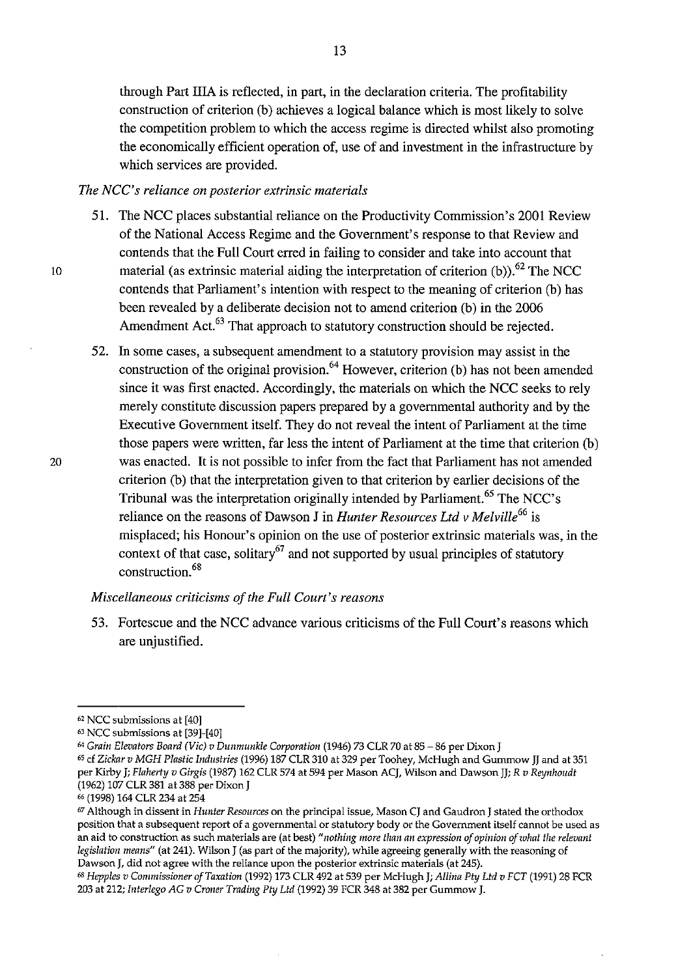through Part IliA is reflected, in part, in the declaration criteria. The profitability construction of criterion (b) achieves a logical balance which is most likely to solve the competition problem to which the access regime is directed whilst also promoting the economically efficient operation of, use of and investment in the infrastructure by which services are provided.

#### *The NCC's reliance on posterior extrinsic materials*

- 51. The NCC places substantial reliance on the Productivity Commission's 2001 Review of the National Access Regime and the Government's response to that Review and contends that the Full Court erred in failing to consider and take into account that material (as extrinsic material aiding the interpretation of criterion (b)).<sup>62</sup> The NCC contends that Parliament's intention with respect to the meaning of criterion (b) has been revealed by a deliberate decision not to amend criterion (b) in the 2006 Amendment Act.<sup>63</sup> That approach to statutory construction should be rejected.
- 52. In some cases, a subsequent amendment to a statutory provision may assist in the construction of the original provision. 64 However, criterion (b) has not been amended since it was first enacted. Accordingly, the materials on which the NCC seeks to rely merely constitute discussion papers prepared by a governmental authority and by the Executive Government itself. They do not reveal the intent of Parliament at the time those papers were written, far less the intent of Parliament at the time that criterion (b) 20 was enacted. It is not possible to infer from the fact that Parliament has not amended criterion (b) that the interpretation given to that criterion by earlier decisions of the Tribunal was the interpretation originally intended by Parliament.<sup>65</sup> The NCC's reliance on the reasons of Dawson J in *Hunter Resources Ltd v Melville<sup>66</sup>*is misplaced; his Honour's opinion on the use of posterior extrinsic materials was, in the context of that case, solitary<sup>67</sup> and not supported by usual principles of statutory construction. 68

### *Miscellaneous criticisms of the Full Court's reasons*

53. Fortescue and the NCC advance various criticisms of the Full Court's reasons which are unjustified.

<sup>62</sup> NCC submissions at [40]

 $63$  NCC submissions at [39]-[40]

<sup>64</sup>*Grain Elevators Board (Vic) v Dunmunkle Corporation* (1946) 73 CLR 70 at 85-86 per Dixon J

<sup>65</sup>cf *Zickar v MGH Plastic Industries* (1996) 187 CLR 310 at 329 per Toohey, McHugh and Gummow JJ and at 351 per Kirby J; *Flaherty v Girgis* (1987) 162 CLR 574 at 594 per Mason ACJ, Wilson and Dawson JJ; *R v Reynhoudt* (1962) 107 CLR 381 at 388 per Dixon J

<sup>&</sup>lt;sup>67</sup> Although in dissent in *Hunter Resources* on the principal issue, Mason CJ and Gaudron J stated the orthodox **position that a subsequent report of a governmental or statutory body or the Government itself cannot be used as an aid to construction as such materials are (at best)** *"nothing more than an expression of opinion of what the relevant legislation means"* (at 241). Wilson J (as part of the majority), while agreeing generally with the reasoning of Dawson *J*, did not agree with the reliance upon the posterior extrinsic materials (at 245).

<sup>&</sup>lt;sup>68</sup> Hepples v Commissioner of Taxation (1992) 173 CLR 492 at 539 per McHugh J; *Allina Pty Ltd v FCT* (1991) 28 FCR 203 at 212; *b!lerlego AG v Croner Trading Phj Ltd* (1992) 39 FCR 348 at 382 per Gummow J.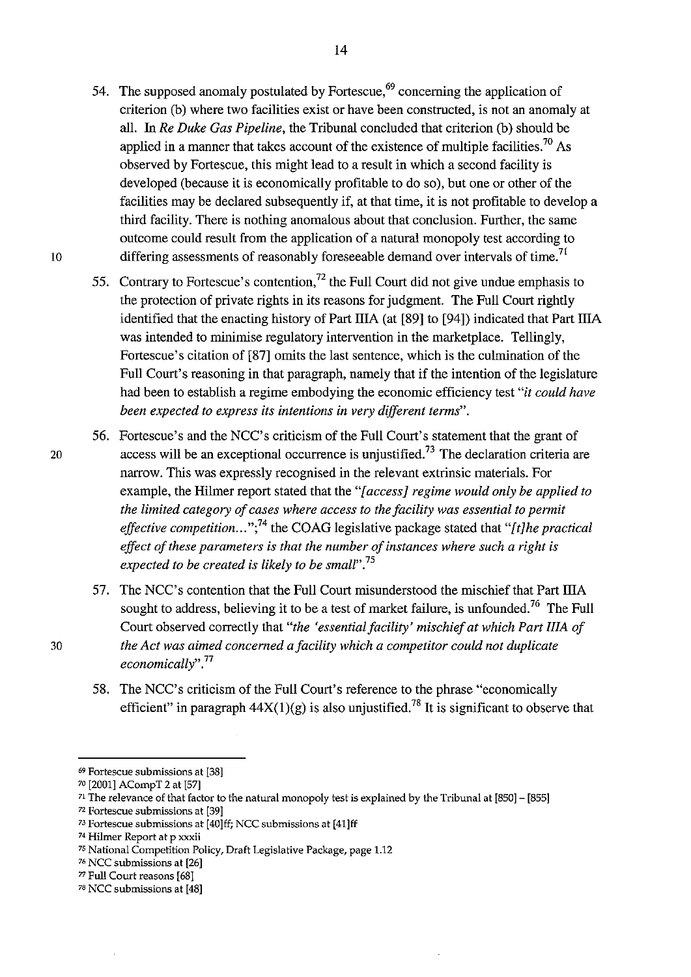- 54. The supposed anomaly postulated by Fortescue, $69$  concerning the application of criterion (b) where two facilities exist or have been constructed, is not an anomaly at all. In *Re Duke Gas Pipeline,* the Tribunal concluded that criterion (b) should be applied in a manner that takes account of the existence of multiple facilities.<sup>70</sup> As observed by Fortescue, this might lead to a result in which a second facility is developed (because it is economically profitable to do so), but one or other of the facilities may be declared subsequently if, at that time, it is not profitable to develop a third facility. There is nothing anomalous about that conclusion. Further, the same outcome could result from the application of a natural monopoly test according to 10 differing assessments of reasonably foreseeable demand over intervals of time.<sup>71</sup>
	- 55. Contrary to Fortescue's contention,<sup>72</sup> the Full Court did not give undue emphasis to the protection of private rights in its reasons for judgment. The Full Court rightly identified that the enacting history of Part IliA (at [89] to [94]) indicated that Part IliA was intended to minimise regulatory intervention in the marketplace. Tellingly, Fortescue's citation of [87] omits the last sentence, which is the culmination of the Full Court's reasoning in that paragraph, namely that if the intention of the legislature had been to establish a regime embodying the economic efficiency test *"it could have been expected to express its intentions in very different terms".*
- 56. Fortescue's and the NCC's criticism of the Full Court's statement that the grant of 20 access will be an exceptional occurrence is unjustified.<sup>73</sup> The declaration criteria are narrow. This was expressly recognised in the relevant extrinsic materials. For example, the Hilmer report stated that the *"[access] regime would only be applied to the limited category of cases where access to the facility was essential to permit effective competition ... ";74* the COAG legislative package stated that *"[t]he practical effect of these parameters is that the number of instances where such a right is expected to be created is likely to be small".* <sup>75</sup>
- 57. The NCC's contention that the Full Court misunderstood the mischief that Part IIIA sought to address, believing it to be a test of market failure, is unfounded.<sup>76</sup> The Full Court observed correctly that *"the 'essential facility' mischief at which Part IliA of*  30 *the Act was aimed concerned a facility which a competitor could not duplicate economically"* . 77
	- 58. The NCC's criticism of the Full Court's reference to the phrase "economically efficient" in paragraph  $44X(1)(g)$  is also unjustified.<sup>78</sup> It is significant to observe that

<sup>72</sup>**Fortescue submissions at [39]** 

<sup>69</sup>**Fortescue submissions at [38]** 

<sup>70 [2001]</sup> ACompT 2 at [57]

 $71$  The relevance of that factor to the natural monopoly test is explained by the Tribunal at  $[850] - [855]$ 

<sup>73</sup>Fortescue submissions at [40]ff; NCC submissions at [41]ff

**<sup>74</sup> Hilmer Report at p xxxii** 

<sup>75</sup> National Competition Policy, Draft Legislative Package, page 1.12

<sup>&</sup>lt;sup>76</sup> NCC submissions at [26]

*<sup>77</sup>*Full Court reasons [68]

<sup>&</sup>lt;sup>78</sup> NCC submissions at [48]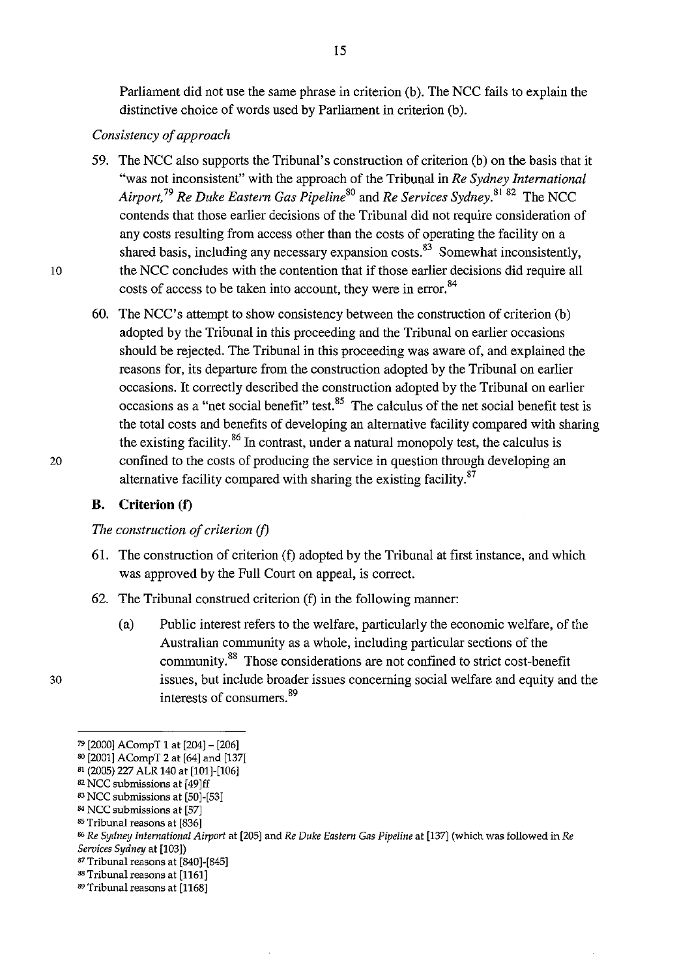Parliament did not use the same phrase in criterion (b). The NCC fails to explain the distinctive choice of words used by Parliament in criterion (b).

### *Consistency of approach*

- 59. The NCC also supports the Tribunal's construction of criterion (b) on the basis that it "was not inconsistent" with the approach of the Tribunal in *Re Sydney International Airport*,<sup>79</sup> Re Duke Eastern Gas Pipeline<sup>80</sup> and Re Services Sydney.<sup>8182</sup> The NCC contends that those earlier decisions of the Tribunal did not require consideration of any costs resulting from access other than the costs of operating the facility on a shared basis, including any necessary expansion costs. $83\overline{3}$  Somewhat inconsistently, 10 the NCC concludes with the contention that if those earlier decisions did require all costs of access to be taken into account, they were in error.<sup>84</sup>
- 60. The NCC's attempt to show consistency between the construction of criterion (b) adopted by the Tribunal in this proceeding and the Tribunal on earlier occasions should be rejected. The Tribunal in this proceeding was aware of, and explained the reasons for, its departure from the construction adopted by the Tribunal on earlier occasions. It correctly described the construction adopted by the Tribunal on earlier occasions as a "net social benefit" test. $^{85}$  The calculus of the net social benefit test is the total costs and benefits of developing an alternative facility compared with sharing the existing facility.<sup>86</sup> In contrast, under a natural monopoly test, the calculus is 20 confined to the costs of producing the service in question through developing an alternative facility compared with sharing the existing facility.<sup>87</sup>

### **B. Criterion** (f)

### *The construction of criterion* (f)

- 6!. The construction of criterion (f) adopted by the Tribunal at first instance, and which was approved by the Full Court on appeal, is correct.
- 62. The Tribunal construed criterion (f) in the following manner:
	- (a) Public interest refers to the welfare, particularly the economic welfare, of the Australian community as a whole, including particular sections of the community.88 Those considerations are not confined to strict cost-benefit issues, but include broader issues concerning social welfare and equity and the interests of consumers. 89

- 84 NCC submissions at [57]
- 85 Tribunal reasons at [836]

- 87 Tribunal reasons at [840]-[845]
- <sup>88</sup> Tribunal reasons at [1161]
- <sup>89</sup> Tribunal reasons at [1168]

<sup>79 [2000]</sup> ACompT 1 at [204]- [206]

so [2001] ACompT 2 at [64] and [137]

<sup>&</sup>lt;sup>81</sup> (2005) 227 ALR 140 at [101]-[106]

<sup>82</sup> NCC submissions at [49]ff

<sup>83</sup> NCC submissions at [50]-[53]

 $86$  *Re Sydney International Airport* at [205] and *Re Duke Eastern Gas Pipeline* at [137] (which was followed in *Re Services Sydney* at [103])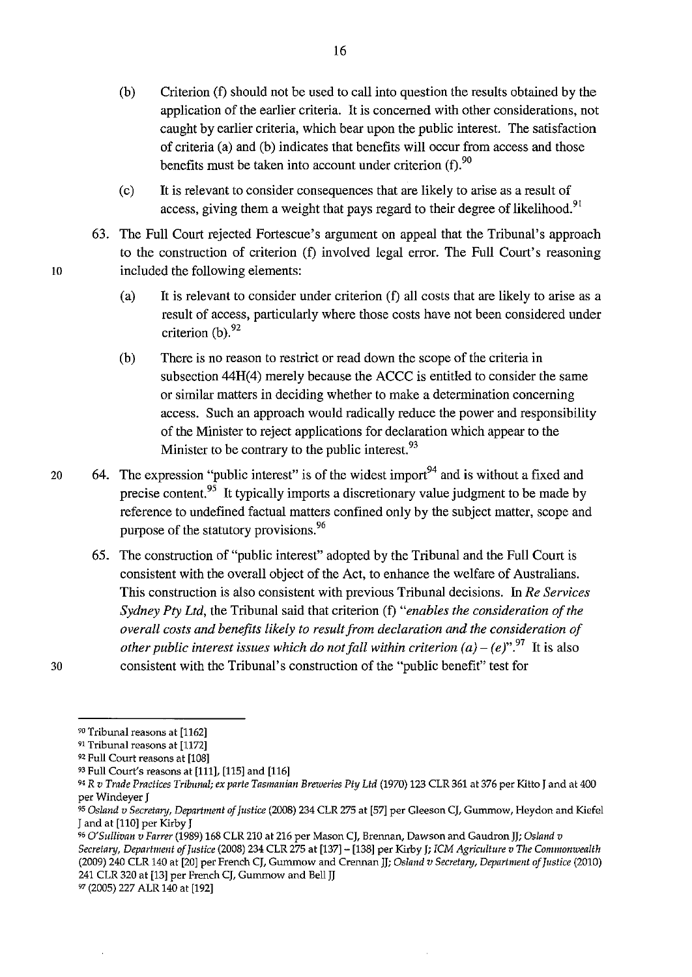- (b) Criterion (f) should not be used to call into question the results obtained by the application of the earlier criteria. It is concerned with other considerations, not caught by earlier criteria, which bear upon the public interest. The satisfaction of criteria (a) and (b) indicates that benefits will occur from access and those benefits must be taken into account under criterion  $(f)$ .<sup>90</sup>
- (c) It is relevant to consider consequences that are likely to arise as a result of access, giving them a weight that pays regard to their degree of likelihood.<sup>91</sup>
- 63. The Full Court rejected Fortescue's argument on appeal that the Tribunal's approach to the construction of criterion (f) involved legal error. The Full Court's reasoning 10 included the following elements:
	- (a) It is relevant to consider under criterion (f) all costs that are likely to arise as a result of access, particularly where those costs have not been considered under criterion  $(b)$ .  $92$
	- (b) There is no reason to restrict or read down the scope of the criteria in subsection 44H(4) merely because the ACCC is entitled to consider the same or similar matters in deciding whether to make a determination concerning access. Such an approach would radically reduce the power and responsibility of the Minister to reject applications for declaration which appear to the Minister to be contrary to the public interest.<sup>93</sup>
- 20 64. The expression "public interest" is of the widest import<sup>94</sup> and is without a fixed and precise content.<sup>95</sup> It typically imports a discretionary value judgment to be made by reference to undefined factual matters confined only by the subject matter, scope and purpose of the statutory provisions.<sup>96</sup>
	- 65. The construction of "public interest" adopted by the Tribunal and the Full Court is consistent with the overall object of the Act, to enhance the welfare of Australians. This construction is also consistent with previous Tribunal decisions. In *Re Services Sydney Pty Ltd,* the Tribunal said that criterion (f) *"enables the consideration of the overall costs and benefits likely to result from declaration and the consideration of other public interest issues which do not fall within criterion*  $(a) - (e)^{97}$ *. It is also* consistent with the Tribunal's construction of the "public benefit" test for

<sup>90</sup> Tribunal reasons at [1162]

<sup>91</sup>Tribunal reasons at [1172]

<sup>92</sup> Full Court reasons at [108]

<sup>93</sup> Full Court's reasons at [111], [115] and [116]

<sup>94</sup>R *v Trade Practices Tribunal; ex parte Tasmanian Breweries Pty Ltd* (1970) 123 CLR 361 at 376 per Kitto J and at 400 per Windeyer J

<sup>9</sup>S *Osland v Secretan;, Department of Justice* (2008) 234 CLR 275 at [57] per Gleeson CJ, Gummow, Heydon and Kiefel J and at [110] per Kirby J

<sup>96</sup>*O'Sullivan v Farrer* (1989) 168 CLR 210 at 216 per Mason CJ, Brennan, Dawson and Gaudronjj; *Osland v Secretan;, Department of Justice* (2008) 234 CLR 275 at [137]- [138] per Kirby); *ICM Agriculture v The Commonwealth*  (2009) 240 CLR 140 at [20] per French CJ, Gummow and Crennan Jj; *Osland v Secretan;, Department of Justice* (2010) 241 CLR 320 at [13] per French CJ, Gummow and Bell JJ

<sup>97 (2005) 227</sup> ALR 140 at [192]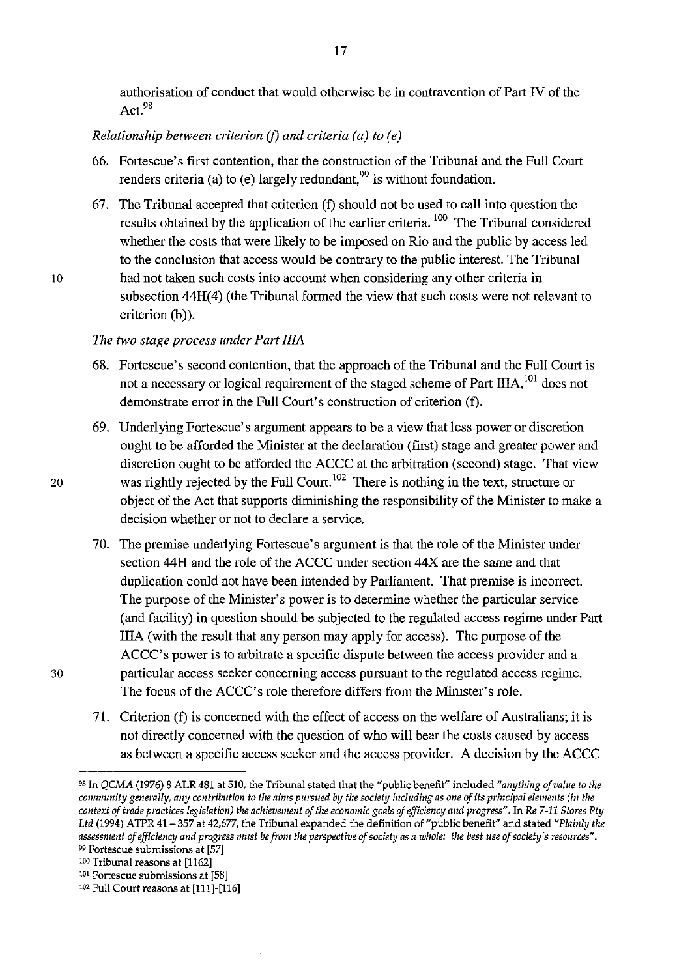authorisation of conduct that would otherwise be in contravention of Part N of the Act.9s

## *Relationship between criterion* (f) *and criteria (a) to (e)*

- 66. Fortescue's first contention, that the construction of the Tribunal and the Full Court renders criteria (a) to (e) largely redundant.<sup>99</sup> is without foundation.
- 67. The Tribunal accepted that criterion (f) should not be used to call into question the results obtained by the application of the earlier criteria. 100 The Tribunal considered whether the costs that were likely to be imposed on Rio and the public by access led to the conclusion that access would be contrary to the public interest. The Tribunal 10 had not taken such costs into account when considering any other criteria in subsection  $44H(4)$  (the Tribunal formed the view that such costs were not relevant to criterion (b)).

#### *The two stage process under Part* IliA

- 68. Fortescue's second contention, that the approach of the Tribunal and the Full Court is not a necessary or logical requirement of the staged scheme of Part IIIA, <sup>101</sup> does not demonstrate error in the Full Court's construction of criterion (f).
- 69. Underlying Fortescue's argument appears to be a view that less power or discretion ought to be afforded the Minister at the declaration (first) stage and greater power and discretion ought to be afforded the ACCC at the arbitration (second) stage. That view 20 was rightly rejected by the Full Court.<sup>102</sup> There is nothing in the text, structure or object of the Act that supports diminishing the responsibility of the Minister to make a decision whether or not to declare a service.
	- 70. The premise underlying Fortescue's argument is that the role of the Minister under section 44H and the role of the ACCC under section 44X are the same and that duplication could not have been intended by Parliament. That premise is incorrect. The purpose of the Minister's power is to determine whether the particular service (and facility) in question should be subjected to the regulated access regime under Part IliA (with the result that any person may apply for access). The purpose of the ACCC's power is to arbitrate a specific dispute between the access provider and a particular access seeker concerning access pursuant to the regulated access regime. The focus of the ACCC's role therefore differs from the Minister's role.
	- 71. Criterion (f) is concerned with the effect of access on the welfare of Australians; it is not directly concerned with the question of who will bear the costs caused by access as between a specific access seeker and the access provider. A decision by the ACCC

<sup>&</sup>quot;In *QCMA* (1976) 8 ALR 481 at 510, the Tribunal stated that the "public benefit" included *"anything of value to the community generally, any contribution to the aims pursued by the society including as one of its principal elements (in the context of trade practices legislation) the achievement of the economic goals of efficiency and progress".* In *Re 7-11 Stores Pty Ltd* (1994) ATPR 41-357 at 42,677, the Tribunal expanded the definition of "public benefit" and stated *"Plainly the assessment of efficiency and progress must be from the perspective of society as a whole: the best use of society's resources".*  <sup>99</sup>**Fortescue submissions at [57]** 

<sup>100</sup> Tribunal reasons at [1162]

**<sup>101</sup>Fortescue submissions at [58]** 

<sup>102</sup> Full Court reasons at [111]-[116]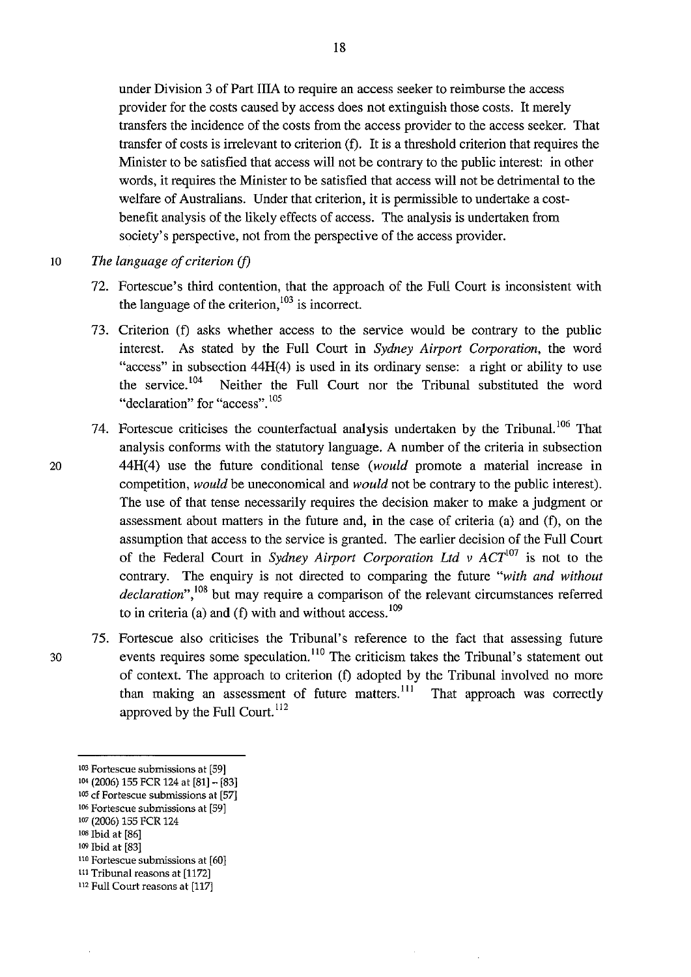under Division 3 of Part IliA to require an access seeker to reimburse the access provider for the costs caused by access does not extinguish those costs. It merely transfers the incidence of the costs from the access provider to the access seeker. That transfer of costs is irrelevant to criterion (f). It is a threshold criterion that requires the Minister to be satisfied that access will not be contrary to the public interest: in other words, it requires the Minister to be satisfied that access will not be detrimental to the welfare of Australians. Under that criterion, it is permissible to undertake a costbenefit analysis of the likely effects of access. The analysis is undertaken from society's perspective, not from the perspective of the access provider.

10 *The language of criterion* (f)

- 72. Fortescue's third contention, that the approach of the Full Court is inconsistent with the language of the criterion,  $103$  is incorrect.
- 73. Criterion (f) asks whether access to the service would be contrary to the public interest. As stated by the Full Court in *Sydney Airport Corporation,* the word "access" in subsection 44H(4) is used in its ordinary sense: a right or ability to use the service. 104 Neither the Full Court nor the Tribunal substituted the word **"declaration" for "access". <sup>105</sup>**
- 74. Fortescue criticises the counterfactual analysis undertaken by the Tribunal.<sup>106</sup> That analysis conforms with the statutory language. A number of the criteria in subsection 20 44H(4) use the future conditional tense *(would* promote a material increase in competition, *would* be uneconomical and *would* not be contrary to the public interest). The use of that tense necessarily requires the decision maker to make a judgment or assessment about matters in the future and, in the case of criteria (a) and (f), on the assumption that access to the service is granted. The earlier decision of the Full Court of the Federal Court in *Sydney Airport Corporation Ltd v ACT*<sup>107</sup> is not to the contrary. The enquiry is not directed to comparing the future *"with and without declaration",* 108 but may require a comparison of the relevant circumstances referred to in criteria (a) and (f) with and without  $access$ . <sup>109</sup>
- 75. Fortescue also criticises the Tribunal's reference to the fact that assessing future 30 events requires some speculation.<sup>110</sup> The criticism takes the Tribunal's statement out of context. The approach to criterion (f) adopted by the Tribunal involved no more than making an assessment of future matters.<sup>111</sup> That approach was correctly approved by the Full Court. <sup>112</sup>

**<sup>103</sup> Fortescue submissions at [59]** 

<sup>104 (2006) 155</sup> FCR 124 at [81]- [83]

**lOS cf Fortescue submissions at [57]** 

**<sup>106</sup> Fortescue submissions at [59]** 

<sup>1</sup>o7 (2006) 155 FCR 124

<sup>1</sup>os Ibid at [86]

<sup>109</sup> Ibid at [83]

<sup>&</sup>lt;sup>110</sup> Fortescue submissions at [60]

<sup>111</sup>Tribunal reasons at [1172]

**<sup>112</sup> Full Court reasons at [117]**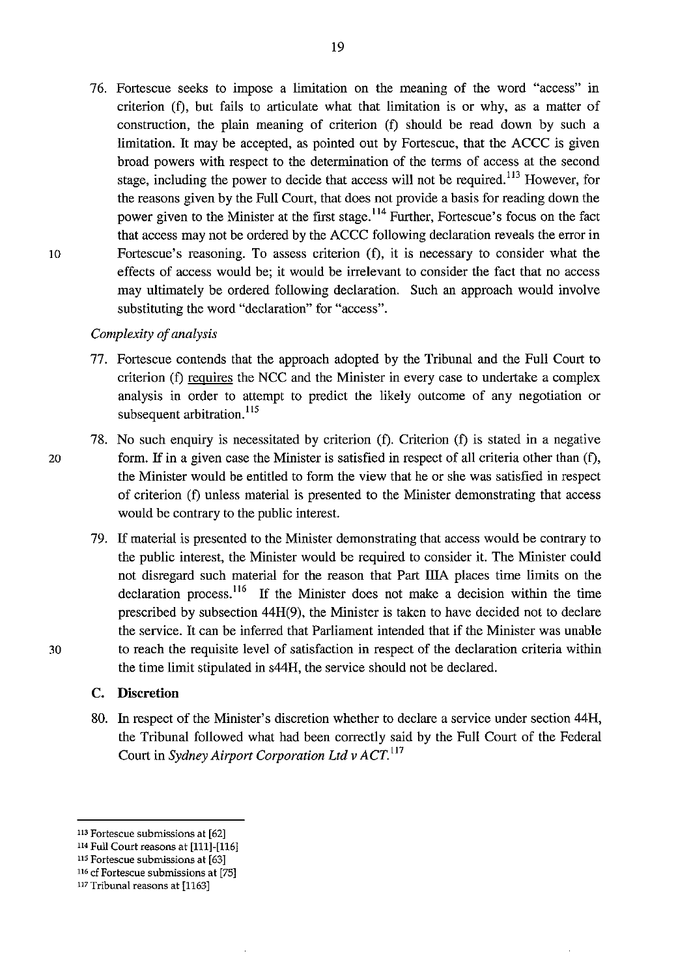76. Fortescue seeks to impose a limitation on the meaning of the word "access" in criterion (f), but fails to articulate what that limitation is or why, as a matter of construction, the plain meaning of criterion (f) should be read down by such a limitation. It may be accepted, as pointed out by Fortescue, that the ACCC is given broad powers with respect to the determination of the terms of access at the second stage, including the power to decide that access will not be required.<sup>113</sup> However, for the reasons given by the Full Court, that does not provide a basis for reading down the power given to the Minister at the first stage. 114 Further, Fortescue's focus on the fact that access may not be ordered by the ACCC following declaration reveals the error in 10 Fortescue's reasoning. To assess criterion (f), it is necessary to consider what the effects of access would be; it would be irrelevant to consider the fact that no access may ultimately be ordered following declaration. Such an approach would involve substituting the word "declaration" for "access".

#### *Complexity of analysis*

- 77. Fortescue contends that the approach adopted by the Tribunal and the Full Court to criterion (f) requires the NCC and the Minister in every case to undertake a complex analysis in order to attempt to predict the likely outcome of any negotiation or subsequent arbitration.<sup>115</sup>
- 78. No such enquiry is necessitated by criterion (f). Criterion (f) is stated in a negative 20 form. If in a given case the Minister is satisfied in respect of all criteria other than (f), the Minister would be entitled to form the view that he or she was satisfied in respect of criterion (f) unless material is presented to the Minister demonstrating that access would be contrary to the public interest.
- 79. If material is presented to the Minister demonstrating that access would be contrary to the public interest, the Minister would be required to consider it. The Minister could not disregard such material for the reason that Part IliA places time limits on the declaration process.<sup>116</sup> If the Minister does not make a decision within the time prescribed by subsection 44H(9), the Minister is taken to have decided not to declare the service. It can be inferred that Parliament intended that if the Minister was unable 30 to reach the requisite level of satisfaction in respect of the declaration criteria within the time limit stipulated in s44H, the service should not be declared.

#### **C. Discretion**

80. In respect of the Minister's discretion whether to declare a service under section 44H, the Tribunal followed what had been correctly said by the Full Court of the Federal Court in *Sydney Airport Corporation Ltd v ACT.* <sup>117</sup>

**<sup>113</sup> Fortescue submissions at [62]** 

<sup>114</sup> Full Court reasons at [111]-[116]

**us Fortescue submissions at [63] 116 cf Fortescue submissions at [75]** 

<sup>117</sup> Tribunal reasons at [1163]